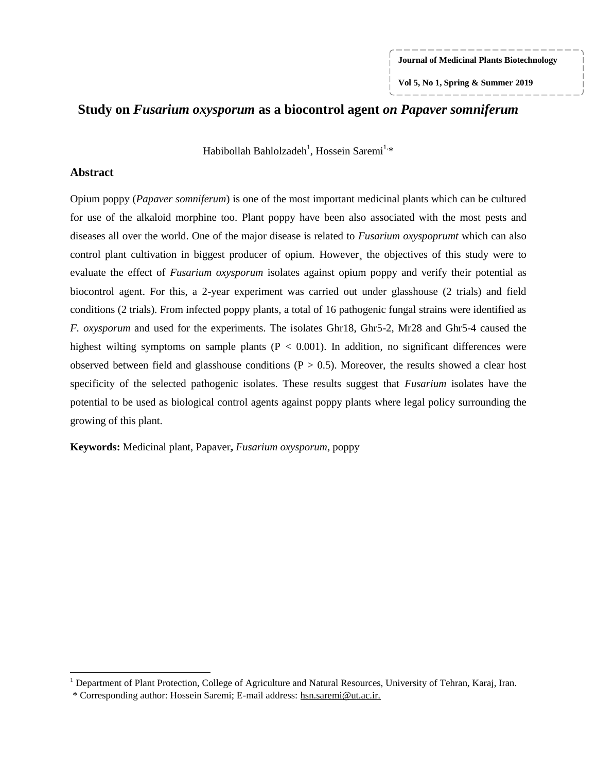**Journal of Medicinal Plants Biotechnology**

**Vol 5, No 1, Spring & Summer 2019**

# **Study on** *Fusarium oxysporum* **as a biocontrol agent** *on Papaver somniferum*

Habibollah Bahlolzadeh<sup>1</sup>, Hossein Saremi<sup>1,</sup>\*

### **Abstract**

 $\overline{a}$ 

Opium poppy (*Papaver somniferum*) is one of the most important medicinal plants which can be cultured for use of the alkaloid morphine too. Plant poppy have been also associated with the most pests and diseases all over the world. One of the major disease is related to *Fusarium oxyspoprumt* which can also control plant cultivation in biggest producer of opium. However, the objectives of this study were to evaluate the effect of *Fusarium oxysporum* isolates against opium poppy and verify their potential as biocontrol agent. For this, a 2-year experiment was carried out under glasshouse (2 trials) and field conditions (2 trials). From infected poppy plants, a total of 16 pathogenic fungal strains were identified as *F. oxysporum* and used for the experiments. The isolates Ghr18, Ghr5-2, Mr28 and Ghr5-4 caused the highest wilting symptoms on sample plants ( $P < 0.001$ ). In addition, no significant differences were observed between field and glasshouse conditions  $(P > 0.5)$ . Moreover, the results showed a clear host specificity of the selected pathogenic isolates. These results suggest that *Fusarium* isolates have the potential to be used as biological control agents against poppy plants where legal policy surrounding the growing of this plant.

**Keywords:** Medicinal plant, Papaver**,** *Fusarium oxysporum*, poppy

<sup>&</sup>lt;sup>1</sup> Department of Plant Protection, College of Agriculture and Natural Resources, University of Tehran, Karaj, Iran.

<sup>\*</sup> Corresponding author: Hossein Saremi; E-mail address: [hsn.saremi@ut.ac.ir](file:///C:/Users/saremih/Desktop/hsn.saremi@ut.ac.ir)*.*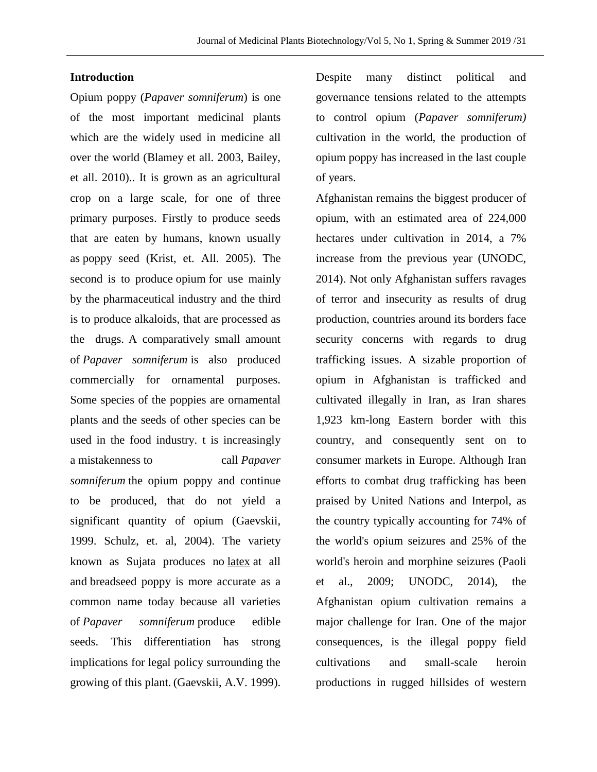### **Introduction**

Opium poppy (*Papaver somniferum*) is one of the most important medicinal plants which are the widely used in medicine all over the world (Blamey et all. 2003, Bailey, et all. 2010).. It is grown as an agricultural crop on a large scale, for one of three primary purposes. Firstly to produce seeds that are eaten by humans, known usually as [poppy seed](https://en.wikipedia.org/wiki/Poppy_seed) (Krist, et. All. 2005). The second is to produce [opium](https://en.wikipedia.org/wiki/Opium) for use mainly by the pharmaceutical industry and the third is to produce alkaloids, that are processed as the drugs. A comparatively small amount of *Papaver somniferum* is also produced commercially for ornamental purposes. Some species of the poppies are ornamental plants and the seeds of other species can be used in the food industry. t is increasingly a [mistakenness](https://en.wikipedia.org/wiki/Misnomer) to call *Papaver somniferum* the opium poppy and continue to be produced, that do not yield a significant quantity of opium (Gaevskii, 1999. Schulz, et. al, 2004). The variety known as Sujata produces no [latex](https://en.wikipedia.org/wiki/Latex) at all and breadseed poppy is more accurate as a common name today because all varieties of *Papaver somniferum* produce edible seeds. This differentiation has strong implications for legal policy surrounding the growing of this plant. (Gaevskii, A.V. 1999).

Despite many distinct political and governance tensions related to the attempts to control opium (*Papaver somniferum)* cultivation in the world, the production of opium poppy has increased in the last couple of years.

Afghanistan remains the biggest producer of opium, with an estimated area of 224,000 hectares under cultivation in 2014, a 7% increase from the previous year (UNODC, 2014). Not only Afghanistan suffers ravages of terror and insecurity as results of drug production, countries around its borders face security concerns with regards to drug trafficking issues. A sizable proportion of opium in Afghanistan is trafficked and cultivated illegally in Iran, as Iran shares 1,923 km-long Eastern border with this country, and consequently sent on to consumer markets in Europe. Although Iran efforts to combat drug trafficking has been praised by United Nations and Interpol, as the country typically accounting for 74% of the world's opium seizures and 25% of the world's heroin and morphine seizures [\(Paoli](http://bjc.oxfordjournals.org/content/53/2/179.full#ref-49)  [et al., 2009;](http://bjc.oxfordjournals.org/content/53/2/179.full#ref-49) UNODC, 2014), the Afghanistan opium cultivation remains a major challenge for Iran. One of the major consequences, is the illegal poppy field cultivations and small-scale heroin productions in rugged hillsides of western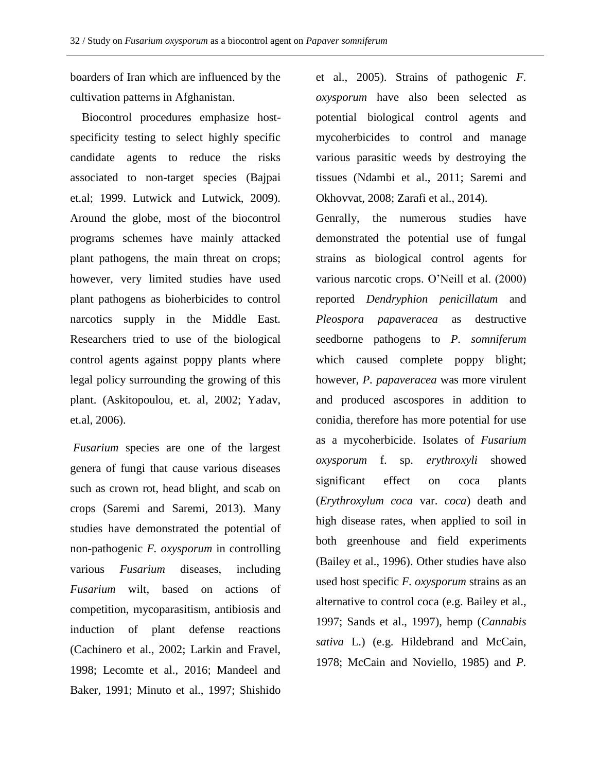boarders of Iran which are influenced by the cultivation patterns in Afghanistan.

 Biocontrol procedures emphasize hostspecificity testing to select highly specific candidate agents to reduce the risks associated to non-target species (Bajpai et.al; 1999. Lutwick and Lutwick, 2009). Around the globe, most of the biocontrol programs schemes have mainly attacked plant pathogens, the main threat on crops; however, very limited studies have used plant pathogens as bioherbicides to control narcotics supply in the Middle East. Researchers tried to use of the biological control agents against poppy plants where legal policy surrounding the growing of this plant. (Askitopoulou, et. al, 2002; Yadav, et.al, 2006).

*Fusarium* species are one of the largest genera of fungi that cause various diseases such as crown rot, head blight, and scab on crops (Saremi and Saremi, 2013). Many studies have demonstrated the potential of non-pathogenic *F. oxysporum* in controlling various *Fusarium* diseases, including *Fusarium* wilt, based on actions of competition, mycoparasitism, antibiosis and induction of plant defense reactions (Cachinero et al., 2002; Larkin and Fravel, 1998; Lecomte et al., 2016; Mandeel and Baker, 1991; Minuto et al., 1997; Shishido

et al., 2005). Strains of pathogenic *F. oxysporum* have also been selected as potential biological control agents and mycoherbicides to control and manage various parasitic weeds by destroying the tissues (Ndambi et al., 2011; Saremi and Okhovvat, 2008; Zarafi et al., 2014).

Genrally, the numerous studies have demonstrated the potential use of fungal strains as biological control agents for various narcotic crops. O'Neill et al. (2000) reported *Dendryphion penicillatum* and *Pleospora papaveracea* as destructive seedborne pathogens to *P. somniferum*  which caused complete poppy blight; however, *P. papaveracea* was more virulent and produced ascospores in addition to conidia, therefore has more potential for use as a mycoherbicide. Isolates of *Fusarium oxysporum* f. sp. *erythroxyli* showed significant effect on coca plants (*Erythroxylum coca* var. *coca*) death and high disease rates, when applied to soil in both greenhouse and field experiments (Bailey et al., 1996). Other studies have also used host specific *F. oxysporum* strains as an alternative to control coca (e.g. Bailey et al., 1997; Sands et al., 1997), hemp (*Cannabis sativa* L.) (e.g. Hildebrand and McCain, 1978; McCain and Noviello, 1985) and *P.*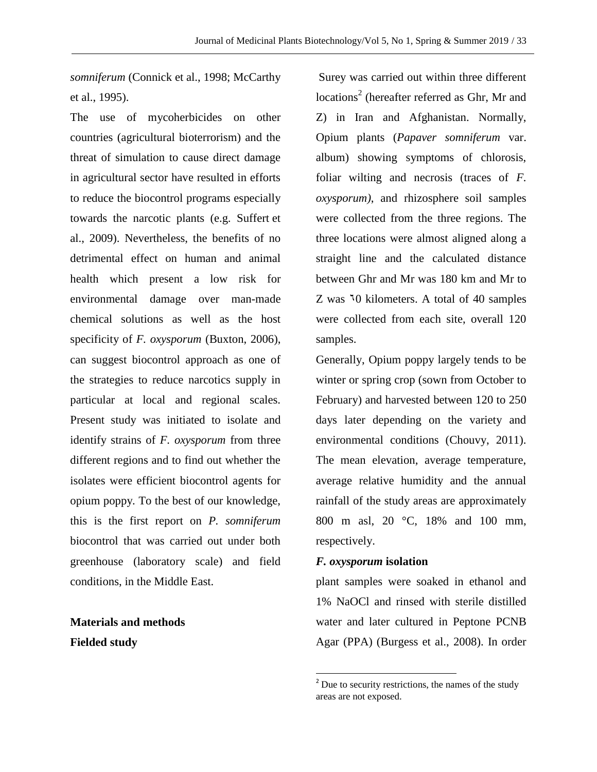*somniferum* (Connick et al., 1998; McCarthy et al., 1995).

The use of mycoherbicides on other countries (agricultural bioterrorism) and the threat of simulation to cause direct damage in agricultural sector have resulted in efforts to reduce the biocontrol programs especially towards the narcotic plants (e.g. Suffert et al., 2009). Nevertheless, the benefits of no detrimental effect on human and animal health which present a low risk for environmental damage over man-made chemical solutions as well as the host specificity of *F. oxysporum* (Buxton, 2006), can suggest biocontrol approach as one of the strategies to reduce narcotics supply in particular at local and regional scales. Present study was initiated to isolate and identify strains of *F. oxysporum* from three different regions and to find out whether the isolates were efficient biocontrol agents for opium poppy. To the best of our knowledge, this is the first report on *P. somniferum* biocontrol that was carried out under both greenhouse (laboratory scale) and field conditions, in the Middle East.

**Materials and methods Fielded study**

Surey was carried out within three different locations<sup>2</sup> (hereafter referred as Ghr, Mr and Z) in Iran and Afghanistan. Normally, Opium plants (*Papaver somniferum* var. album) showing symptoms of chlorosis, foliar wilting and necrosis (traces of *F. oxysporum)*, and rhizosphere soil samples were collected from the three regions. The three locations were almost aligned along a straight line and the calculated distance between Ghr and Mr was 180 km and Mr to Z was  $\sqrt[1]{0}$  kilometers. A total of 40 samples were collected from each site, overall 120 samples.

Generally, Opium poppy largely tends to be winter or spring crop (sown from October to February) and harvested between 120 to 250 days later depending on the variety and environmental conditions (Chouvy, 2011). The mean elevation, average temperature, average relative humidity and the annual rainfall of the study areas are approximately 800 m asl, 20 °C, 18% and 100 mm, respectively.

#### *F. oxysporum* **isolation**

l

plant samples were soaked in ethanol and 1% NaOCl and rinsed with sterile distilled water and later cultured in Peptone PCNB Agar (PPA) (Burgess et al., 2008). In order

 $2^2$  Due to security restrictions, the names of the study areas are not exposed.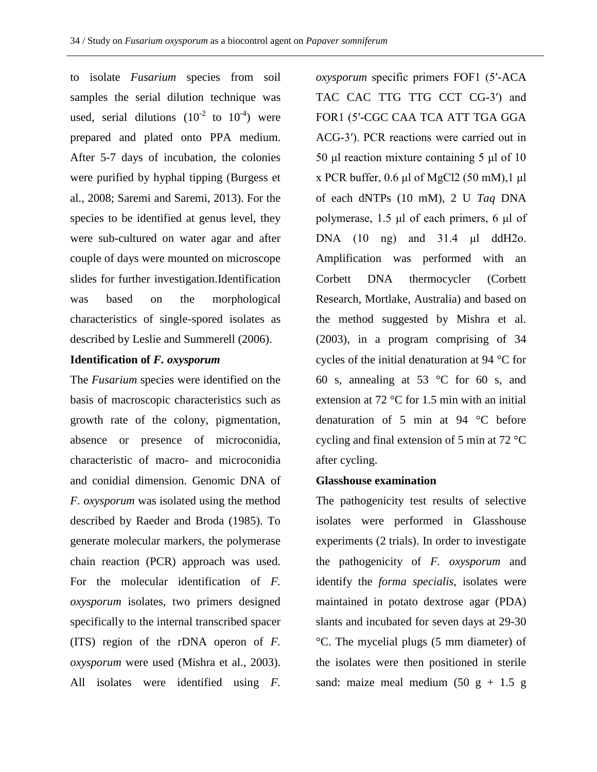to isolate *Fusarium* species from soil samples the serial dilution technique was used, serial dilutions  $(10^{-2} \text{ to } 10^{-4})$  were prepared and plated onto PPA medium. After 5-7 days of incubation, the colonies were purified by hyphal tipping (Burgess et al., 2008; Saremi and Saremi, 2013). For the species to be identified at genus level, they were sub-cultured on water agar and after couple of days were mounted on microscope slides for further investigation.Identification was based on the morphological characteristics of single-spored isolates as described by Leslie and Summerell (2006).

# **Identification of** *F. oxysporum*

The *Fusarium* species were identified on the basis of macroscopic characteristics such as growth rate of the colony, pigmentation, absence or presence of microconidia, characteristic of macro- and microconidia and conidial dimension. Genomic DNA of *F. oxysporum* was isolated using the method described by Raeder and Broda (1985). To generate molecular markers, the polymerase chain reaction (PCR) approach was used. For the molecular identification of *F. oxysporum* isolates, two primers designed specifically to the internal transcribed spacer (ITS) region of the rDNA operon of *F. oxysporum* were used (Mishra et al., 2003). All isolates were identified using *F.* 

*oxysporum* specific primers FOF1 (5′-ACA TAC CAC TTG TTG CCT CG-3′) and FOR1 (5′-CGC CAA TCA ATT TGA GGA ACG-3′). PCR reactions were carried out in 50 μl reaction mixture containing 5 μl of 10 x PCR buffer,  $0.6 \mu l$  of MgCl2 (50 mM),  $1 \mu l$ of each dNTPs (10 mM), 2 U *Taq* DNA polymerase, 1.5 μl of each primers, 6 μl of DNA (10 ng) and 31.4 μl ddH2o. Amplification was performed with an Corbett DNA thermocycler (Corbett Research, Mortlake, Australia) and based on the method suggested by Mishra et al. (2003), in a program comprising of 34 cycles of the initial denaturation at 94 °C for 60 s, annealing at 53 °C for 60 s, and extension at 72 °C for 1.5 min with an initial denaturation of 5 min at 94 °C before cycling and final extension of 5 min at 72 °C after cycling.

#### **Glasshouse examination**

The pathogenicity test results of selective isolates were performed in Glasshouse experiments (2 trials). In order to investigate the pathogenicity of *F. oxysporum* and identify the *forma specialis,* isolates were maintained in potato dextrose agar (PDA) slants and incubated for seven days at 29-30 °C. The mycelial plugs (5 mm diameter) of the isolates were then positioned in sterile sand: maize meal medium  $(50 g + 1.5 g)$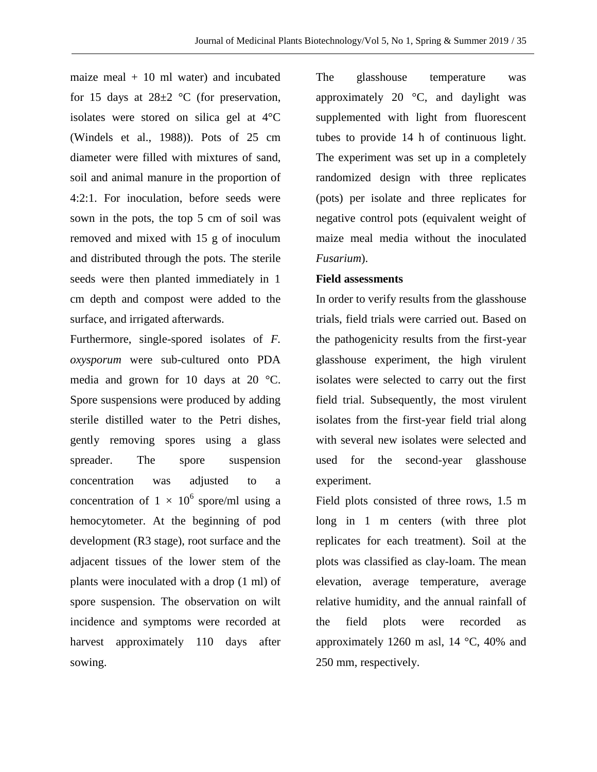maize meal  $+10$  ml water) and incubated for 15 days at  $28\pm2$  °C (for preservation, isolates were stored on silica gel at 4°C (Windels et al., 1988)). Pots of 25 cm diameter were filled with mixtures of sand, soil and animal manure in the proportion of 4:2:1. For inoculation, before seeds were sown in the pots, the top 5 cm of soil was removed and mixed with 15 g of inoculum and distributed through the pots. The sterile seeds were then planted immediately in 1 cm depth and compost were added to the surface, and irrigated afterwards.

Furthermore, single-spored isolates of *F. oxysporum* were sub-cultured onto PDA media and grown for 10 days at 20 °C. Spore suspensions were produced by adding sterile distilled water to the Petri dishes, gently removing spores using a glass spreader. The spore suspension concentration was adjusted to a concentration of  $1 \times 10^6$  spore/ml using a hemocytometer. At the beginning of pod development (R3 stage), root surface and the adjacent tissues of the lower stem of the plants were inoculated with a drop (1 ml) of spore suspension. The observation on wilt incidence and symptoms were recorded at harvest approximately 110 days after sowing.

The glasshouse temperature was approximately 20 $\degree$ C, and daylight was supplemented with light from fluorescent tubes to provide 14 h of continuous light. The experiment was set up in a completely randomized design with three replicates (pots) per isolate and three replicates for negative control pots (equivalent weight of maize meal media without the inoculated *Fusarium*).

# **Field assessments**

In order to verify results from the glasshouse trials, field trials were carried out. Based on the pathogenicity results from the first-year glasshouse experiment, the high virulent isolates were selected to carry out the first field trial. Subsequently, the most virulent isolates from the first-year field trial along with several new isolates were selected and used for the second-year glasshouse experiment.

Field plots consisted of three rows, 1.5 m long in 1 m centers (with three plot replicates for each treatment). Soil at the plots was classified as clay-loam. The mean elevation, average temperature, average relative humidity, and the annual rainfall of the field plots were recorded as approximately 1260 m asl, 14 °C, 40% and 250 mm, respectively.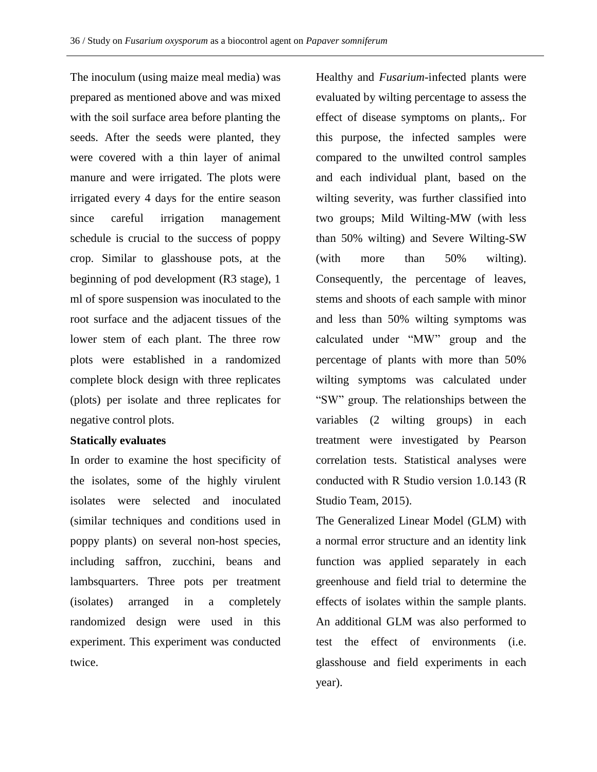The inoculum (using maize meal media) was prepared as mentioned above and was mixed with the soil surface area before planting the seeds. After the seeds were planted, they were covered with a thin layer of animal manure and were irrigated. The plots were irrigated every 4 days for the entire season since careful irrigation management schedule is crucial to the success of poppy crop. Similar to glasshouse pots, at the beginning of pod development (R3 stage), 1 ml of spore suspension was inoculated to the root surface and the adjacent tissues of the lower stem of each plant. The three row plots were established in a randomized complete block design with three replicates (plots) per isolate and three replicates for negative control plots.

# **Statically evaluates**

In order to examine the host specificity of the isolates, some of the highly virulent isolates were selected and inoculated (similar techniques and conditions used in poppy plants) on several non-host species, including saffron, zucchini, beans and lambsquarters. Three pots per treatment (isolates) arranged in a completely randomized design were used in this experiment. This experiment was conducted twice.

Healthy and *Fusarium*-infected plants were evaluated by wilting percentage to assess the effect of disease symptoms on plants,. For this purpose, the infected samples were compared to the unwilted control samples and each individual plant, based on the wilting severity, was further classified into two groups; Mild Wilting-MW (with less than 50% wilting) and Severe Wilting-SW (with more than 50% wilting). Consequently, the percentage of leaves, stems and shoots of each sample with minor and less than 50% wilting symptoms was calculated under "MW" group and the percentage of plants with more than 50% wilting symptoms was calculated under "SW" group. The relationships between the variables (2 wilting groups) in each treatment were investigated by Pearson correlation tests. Statistical analyses were conducted with R Studio version 1.0.143 (R Studio Team, 2015).

The Generalized Linear Model (GLM) with a normal error structure and an identity link function was applied separately in each greenhouse and field trial to determine the effects of isolates within the sample plants. An additional GLM was also performed to test the effect of environments (i.e. glasshouse and field experiments in each year).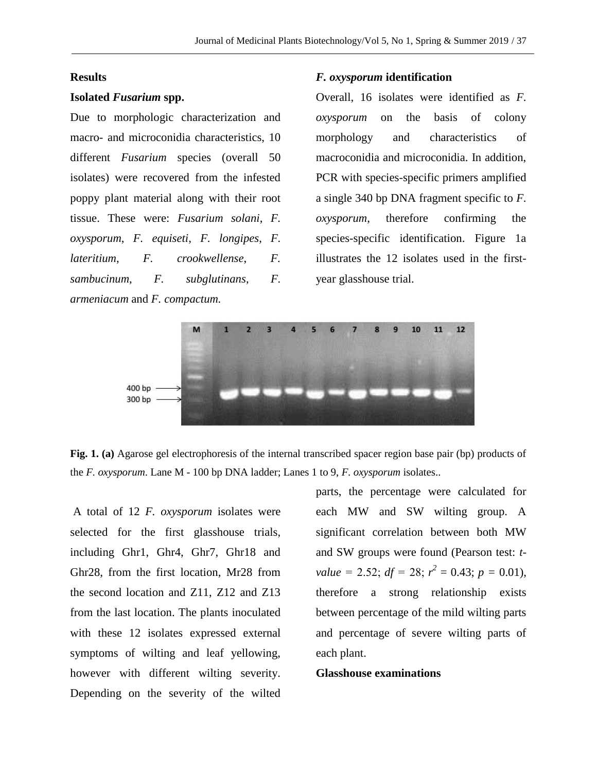#### **Results**

#### **Isolated** *Fusarium* **spp.**

Due to morphologic characterization and macro- and microconidia characteristics, 10 different *Fusarium* species (overall 50 isolates) were recovered from the infested poppy plant material along with their root tissue. These were: *Fusarium solani*, *F. oxysporum*, *F. equiseti*, *F. longipes*, *F. lateritium*, *F. crookwellense*, *F. sambucinum*, *F. subglutinans*, *F. armeniacum* and *F. compactum.*

#### *F. oxysporum* **identification**

Overall, 16 isolates were identified as *F. oxysporum* on the basis of colony morphology and characteristics of macroconidia and microconidia. In addition, PCR with species-specific primers amplified a single 340 bp DNA fragment specific to *F. oxysporum*, therefore confirming the species-specific identification. Figure 1a illustrates the 12 isolates used in the firstyear glasshouse trial.





A total of 12 *F. oxysporum* isolates were selected for the first glasshouse trials, including Ghr1, Ghr4, Ghr7, Ghr18 and Ghr28, from the first location, Mr28 from the second location and Z11, Z12 and Z13 from the last location. The plants inoculated with these 12 isolates expressed external symptoms of wilting and leaf yellowing, however with different wilting severity. Depending on the severity of the wilted parts, the percentage were calculated for each MW and SW wilting group. A significant correlation between both MW and SW groups were found (Pearson test: *tvalue* = 2.52;  $df = 28$ ;  $r^2 = 0.43$ ;  $p = 0.01$ ), therefore a strong relationship exists between percentage of the mild wilting parts and percentage of severe wilting parts of each plant.

#### **Glasshouse examinations**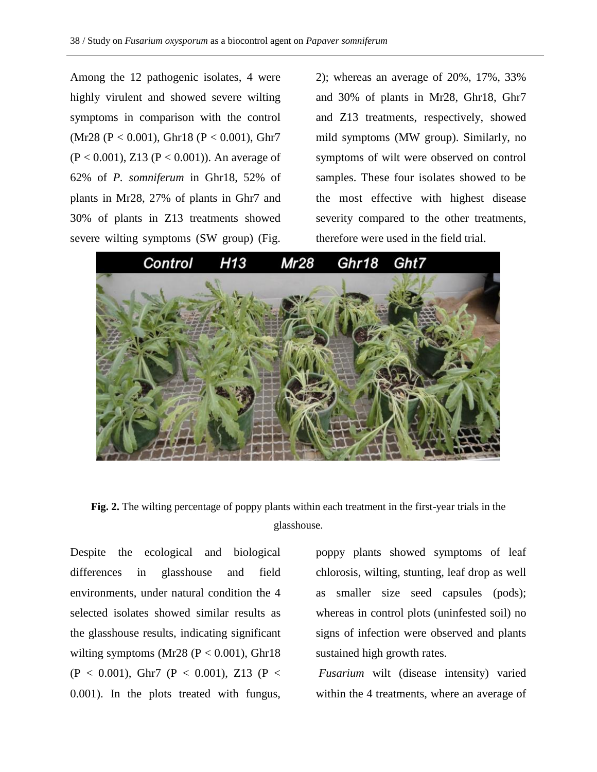Among the 12 pathogenic isolates, 4 were highly virulent and showed severe wilting symptoms in comparison with the control (Mr28 (P < 0.001), Ghr18 (P < 0.001), Ghr7  $(P < 0.001)$ , Z13  $(P < 0.001)$ ). An average of 62% of *P. somniferum* in Ghr18, 52% of plants in Mr28, 27% of plants in Ghr7 and 30% of plants in Z13 treatments showed severe wilting symptoms (SW group) (Fig.

2); whereas an average of 20%, 17%, 33% and 30% of plants in Mr28, Ghr18, Ghr7 and Z13 treatments, respectively, showed mild symptoms (MW group). Similarly, no symptoms of wilt were observed on control samples. These four isolates showed to be the most effective with highest disease severity compared to the other treatments, therefore were used in the field trial.



**Fig. 2.** The wilting percentage of poppy plants within each treatment in the first-year trials in the glasshouse.

Despite the ecological and biological differences in glasshouse and field environments, under natural condition the 4 selected isolates showed similar results as the glasshouse results, indicating significant wilting symptoms (Mr28 ( $P < 0.001$ ), Ghr18  $(P < 0.001)$ , Ghr7  $(P < 0.001)$ , Z13  $(P < 0.001)$ 0.001). In the plots treated with fungus, poppy plants showed symptoms of leaf chlorosis, wilting, stunting, leaf drop as well as smaller size seed capsules (pods); whereas in control plots (uninfested soil) no signs of infection were observed and plants sustained high growth rates.

*Fusarium* wilt (disease intensity) varied within the 4 treatments, where an average of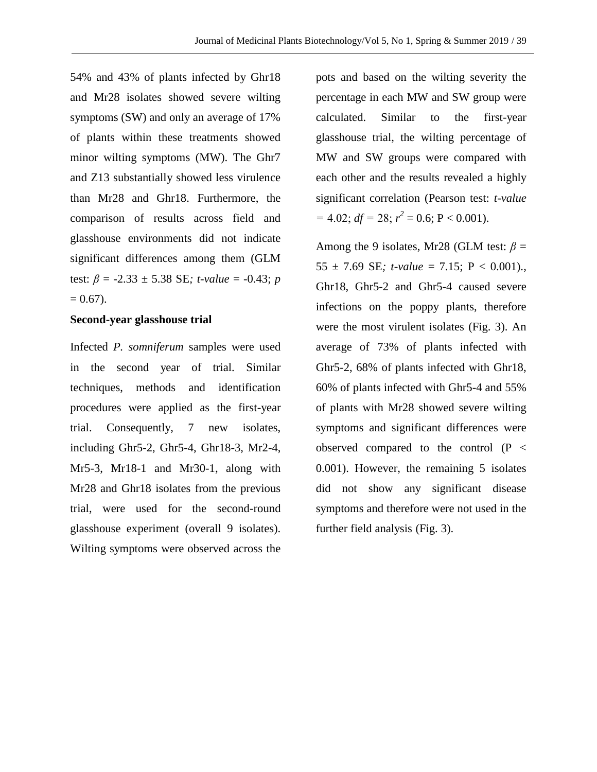54% and 43% of plants infected by Ghr18 and Mr28 isolates showed severe wilting symptoms (SW) and only an average of 17% of plants within these treatments showed minor wilting symptoms (MW). The Ghr7 and Z13 substantially showed less virulence than Mr28 and Ghr18. Furthermore, the comparison of results across field and glasshouse environments did not indicate significant differences among them (GLM test: *β* = -2.33 ± 5.38 SE*; t-value* = -0.43; *p*  $= 0.67$ ).

### **Second-year glasshouse trial**

Infected *P. somniferum* samples were used in the second year of trial. Similar techniques, methods and identification procedures were applied as the first-year trial. Consequently, 7 new isolates, including Ghr5-2, Ghr5-4, Ghr18-3, Mr2-4, Mr5-3, Mr18-1 and Mr30-1, along with Mr28 and Ghr18 isolates from the previous trial, were used for the second-round glasshouse experiment (overall 9 isolates). Wilting symptoms were observed across the

pots and based on the wilting severity the percentage in each MW and SW group were calculated. Similar to the first-year glasshouse trial, the wilting percentage of MW and SW groups were compared with each other and the results revealed a highly significant correlation (Pearson test: *t-value*  $= 4.02$ ;  $df = 28$ ;  $r^2 = 0.6$ ;  $P < 0.001$ ).

Among the 9 isolates, Mr28 (GLM test:  $\beta$  = 55  $\pm$  7.69 SE; *t*-value = 7.15; P < 0.001). Ghr18, Ghr5-2 and Ghr5-4 caused severe infections on the poppy plants, therefore were the most virulent isolates (Fig. 3). An average of 73% of plants infected with Ghr5-2, 68% of plants infected with Ghr18, 60% of plants infected with Ghr5-4 and 55% of plants with Mr28 showed severe wilting symptoms and significant differences were observed compared to the control (P < 0.001). However, the remaining 5 isolates did not show any significant disease symptoms and therefore were not used in the further field analysis (Fig. 3).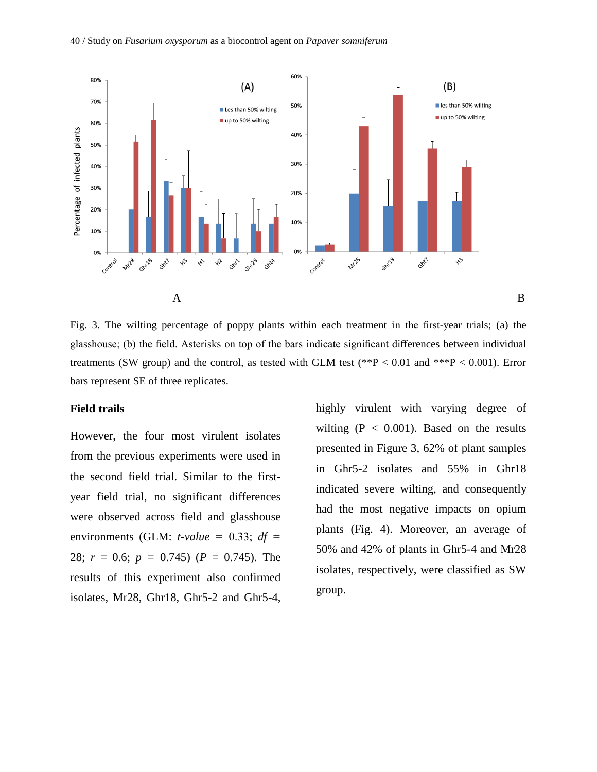

Fig. 3. The wilting percentage of poppy plants within each treatment in the first-year trials; (a) the glasshouse; (b) the field. Asterisks on top of the bars indicate significant differences between individual treatments (SW group) and the control, as tested with GLM test (\*\*P < 0.01 and \*\*\*P < 0.001). Error bars represent SE of three replicates.

### **Field trails**

However, the four most virulent isolates from the previous experiments were used in the second field trial. Similar to the firstyear field trial, no significant differences were observed across field and glasshouse environments (GLM:  $t$ -value = 0.33;  $df =$ 28; *r* = 0.6; *p =* 0.745) (*P* = 0.745). The results of this experiment also confirmed isolates, Mr28, Ghr18, Ghr5-2 and Ghr5-4, highly virulent with varying degree of wilting  $(P < 0.001)$ . Based on the results presented in Figure 3, 62% of plant samples in Ghr5-2 isolates and 55% in Ghr18 indicated severe wilting, and consequently had the most negative impacts on opium plants (Fig. 4). Moreover, an average of 50% and 42% of plants in Ghr5-4 and Mr28 isolates, respectively, were classified as SW group.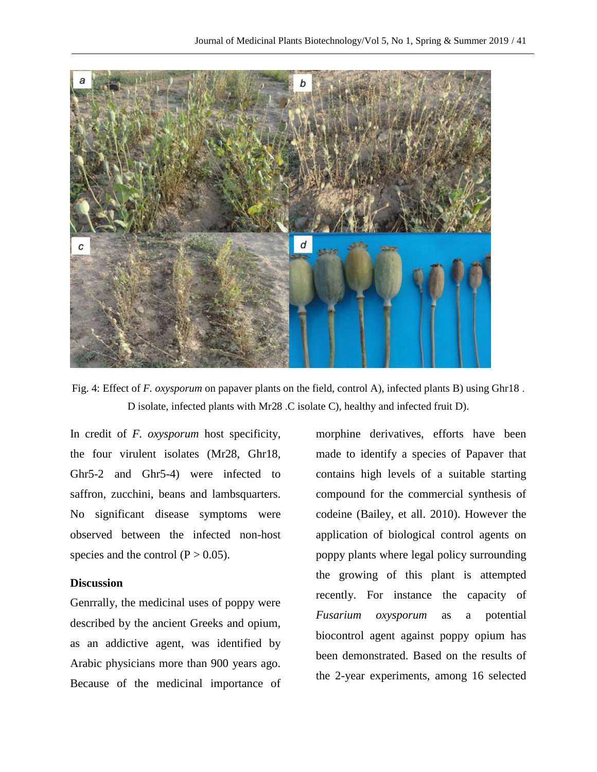

Fig. 4: Effect of *F. oxysporum* on papaver plants on the field, control A), infected plants B) using Ghr18 . D isolate, infected plants with Mr28 .C isolate C), healthy and infected fruit D).

In credit of *F. oxysporum* host specificity, the four virulent isolates (Mr28, Ghr18, Ghr5-2 and Ghr5-4) were infected to saffron, zucchini, beans and lambsquarters. No significant disease symptoms were observed between the infected non-host species and the control  $(P > 0.05)$ .

### **Discussion**

Genrrally, the medicinal uses of poppy were described by the ancient Greeks and opium, as an addictive agent, was identified by Arabic physicians more than 900 years ago. Because of the medicinal importance of

morphine derivatives, efforts have been made to identify a species of Papaver that contains high levels of a suitable starting compound for the commercial synthesis of codeine (Bailey, et all. 2010). However the application of biological control agents on poppy plants where legal policy surrounding the growing of this plant is attempted recently. For instance the capacity of *Fusarium oxysporum* as a potential biocontrol agent against poppy opium has been demonstrated. Based on the results of the 2-year experiments, among 16 selected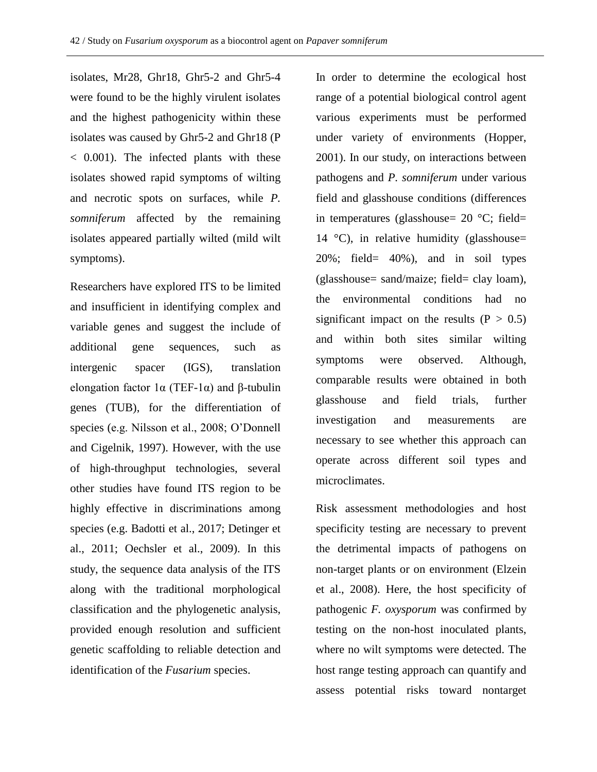isolates, Mr28, Ghr18, Ghr5-2 and Ghr5-4 were found to be the highly virulent isolates and the highest pathogenicity within these isolates was caused by Ghr5-2 and Ghr18 (P < 0.001). The infected plants with these isolates showed rapid symptoms of wilting and necrotic spots on surfaces, while *P. somniferum* affected by the remaining isolates appeared partially wilted (mild wilt symptoms).

Researchers have explored ITS to be limited and insufficient in identifying complex and variable genes and suggest the include of additional gene sequences, such as intergenic spacer (IGS), translation elongation factor  $1\alpha$  (TEF-1 $\alpha$ ) and β-tubulin genes (TUB), for the differentiation of species (e.g. Nilsson et al., 2008; O'Donnell and Cigelnik, 1997). However, with the use of high-throughput technologies, several other studies have found ITS region to be highly effective in discriminations among species (e.g. Badotti et al., 2017; Detinger et al., 2011; Oechsler et al., 2009). In this study, the sequence data analysis of the ITS along with the traditional morphological classification and the phylogenetic analysis, provided enough resolution and sufficient genetic scaffolding to reliable detection and identification of the *Fusarium* species.

In order to determine the ecological host range of a potential biological control agent various experiments must be performed under variety of environments (Hopper, 2001). In our study, on interactions between pathogens and *P. somniferum* under various field and glasshouse conditions (differences in temperatures (glasshouse=  $20^{\circ}$ C; field= 14  $^{\circ}$ C), in relative humidity (glasshouse= 20%; field= 40%), and in soil types (glasshouse= sand/maize; field= clay loam), the environmental conditions had no significant impact on the results  $(P > 0.5)$ and within both sites similar wilting symptoms were observed. Although, comparable results were obtained in both glasshouse and field trials, further investigation and measurements are necessary to see whether this approach can operate across different soil types and microclimates.

Risk assessment methodologies and host specificity testing are necessary to prevent the detrimental impacts of pathogens on non-target plants or on environment (Elzein et al., 2008). Here, the host specificity of pathogenic *F. oxysporum* was confirmed by testing on the non-host inoculated plants, where no wilt symptoms were detected. The host range testing approach can quantify and assess potential risks toward nontarget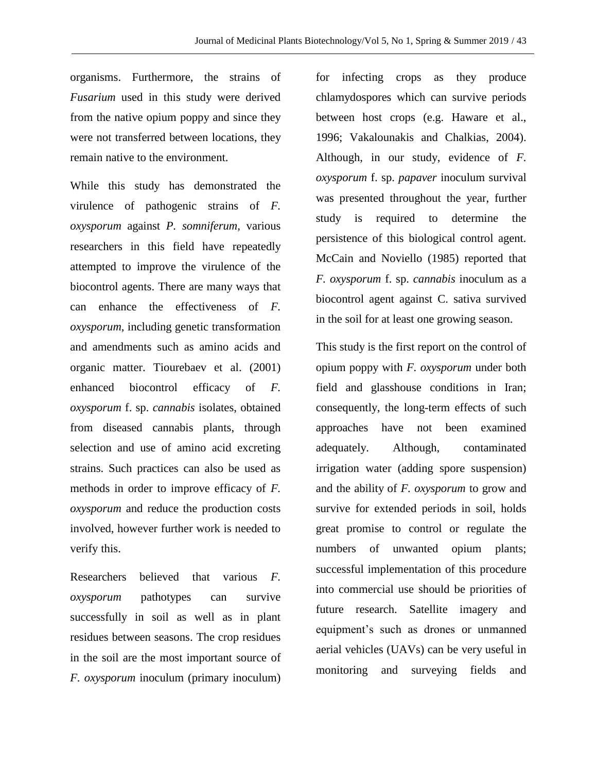organisms. Furthermore, the strains of *Fusarium* used in this study were derived from the native opium poppy and since they were not transferred between locations, they remain native to the environment.

While this study has demonstrated the virulence of pathogenic strains of *F. oxysporum* against *P. somniferum,* various researchers in this field have repeatedly attempted to improve the virulence of the biocontrol agents. There are many ways that can enhance the effectiveness of *F. oxysporum*, including genetic transformation and amendments such as amino acids and organic matter. Tiourebaev et al. (2001) enhanced biocontrol efficacy of *F. oxysporum* f. sp. *cannabis* isolates, obtained from diseased cannabis plants, through selection and use of amino acid excreting strains. Such practices can also be used as methods in order to improve efficacy of *F. oxysporum* and reduce the production costs involved, however further work is needed to verify this.

Researchers believed that various *F. oxysporum* pathotypes can survive successfully in soil as well as in plant residues between seasons. The crop residues in the soil are the most important source of *F. oxysporum* inoculum (primary inoculum) for infecting crops as they produce chlamydospores which can survive periods between host crops (e.g. Haware et al., 1996; Vakalounakis and Chalkias, 2004). Although, in our study, evidence of *F. oxysporum* f. sp. *papaver* inoculum survival was presented throughout the year, further study is required to determine the persistence of this biological control agent. McCain and Noviello (1985) reported that *F. oxysporum* f. sp. *cannabis* inoculum as a biocontrol agent against C. sativa survived in the soil for at least one growing season.

This study is the first report on the control of opium poppy with *F. oxysporum* under both field and glasshouse conditions in Iran; consequently, the long-term effects of such approaches have not been examined adequately. Although, contaminated irrigation water (adding spore suspension) and the ability of *F. oxysporum* to grow and survive for extended periods in soil, holds great promise to control or regulate the numbers of unwanted opium plants; successful implementation of this procedure into commercial use should be priorities of future research. Satellite imagery and equipment's such as drones or unmanned aerial vehicles (UAVs) can be very useful in monitoring and surveying fields and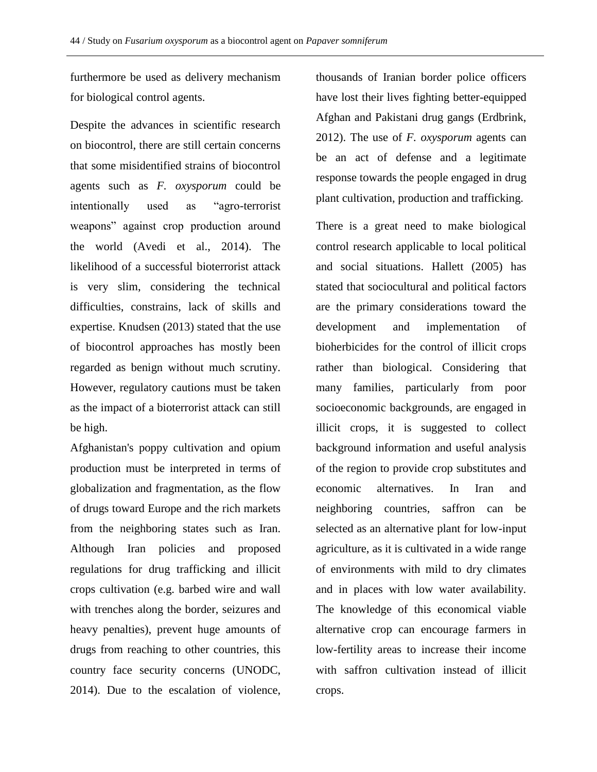furthermore be used as delivery mechanism for biological control agents.

Despite the advances in scientific research on biocontrol, there are still certain concerns that some misidentified strains of biocontrol agents such as *F. oxysporum* could be intentionally used as "agro-terrorist weapons" against crop production around the world (Avedi et al., 2014). The likelihood of a successful bioterrorist attack is very slim, considering the technical difficulties, constrains, lack of skills and expertise. Knudsen (2013) stated that the use of biocontrol approaches has mostly been regarded as benign without much scrutiny. However, regulatory cautions must be taken as the impact of a bioterrorist attack can still be high.

Afghanistan's poppy cultivation and opium production must be interpreted in terms of globalization and fragmentation, as the flow of drugs toward Europe and the rich markets from the neighboring states such as Iran. Although Iran policies and proposed regulations for drug trafficking and illicit crops cultivation (e.g. barbed wire and wall with trenches along the border, seizures and heavy penalties), prevent huge amounts of drugs from reaching to other countries, this country face security concerns (UNODC, 2014). Due to the escalation of violence,

thousands of Iranian border police officers have lost their lives fighting better-equipped Afghan and Pakistani drug gangs (Erdbrink, 2012). The use of *F. oxysporum* agents can be an act of defense and a legitimate response towards the people engaged in drug plant cultivation, production and trafficking.

There is a great need to make biological control research applicable to local political and social situations. Hallett (2005) has stated that sociocultural and political factors are the primary considerations toward the development and implementation of bioherbicides for the control of illicit crops rather than biological. Considering that many families, particularly from poor socioeconomic backgrounds, are engaged in illicit crops, it is suggested to collect background information and useful analysis of the region to provide crop substitutes and economic alternatives. In Iran and neighboring countries, saffron can be selected as an alternative plant for low-input agriculture, as it is cultivated in a wide range of environments with mild to dry climates and in places with low water availability. The knowledge of this economical viable alternative crop can encourage farmers in low-fertility areas to increase their income with saffron cultivation instead of illicit crops.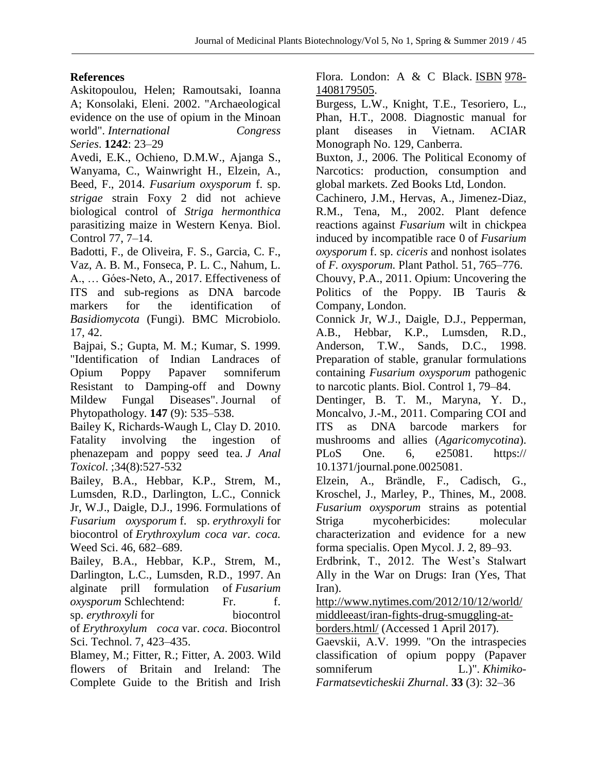# **References**

Askitopoulou, Helen; Ramoutsaki, Ioanna A; Konsolaki, Eleni. 2002. "Archaeological evidence on the use of opium in the Minoan world". *International Congress Series*. **1242**: 23–29

Avedi, E.K., Ochieno, D.M.W., Ajanga S., Wanyama, C., Wainwright H., Elzein, A., Beed, F., 2014. *Fusarium oxysporum* f. sp. *strigae* strain Foxy 2 did not achieve biological control of *Striga hermonthica* parasitizing maize in Western Kenya. Biol. Control 77, 7–14.

Badotti, F., de Oliveira, F. S., Garcia, C. F., Vaz, A. B. M., Fonseca, P. L. C., Nahum, L. A., … Góes-Neto, A., 2017. Effectiveness of ITS and sub-regions as DNA barcode markers for the identification of *Basidiomycota* (Fungi). BMC Microbiolo. 17, 42.

Bajpai, S.; Gupta, M. M.; Kumar, S. 1999. "Identification of Indian Landraces of Opium Poppy Papaver somniferum Resistant to Damping-off and Downy Mildew Fungal Diseases". Journal of Phytopathology. **147** (9): 535–538.

Bailey K, Richards-Waugh L, Clay D. 2010. Fatality involving the ingestion of phenazepam and poppy seed tea. *J Anal Toxicol*. ;34(8):527-532

Bailey, B.A., Hebbar, K.P., Strem, M., Lumsden, R.D., Darlington, L.C., Connick Jr, W.J., Daigle, D.J., 1996. Formulations of *Fusarium oxysporum* f. sp. *erythroxyli* for biocontrol of *Erythroxylum coca var. coca.*  Weed Sci. 46, 682–689.

Bailey, B.A., Hebbar, K.P., Strem, M., Darlington, L.C., Lumsden, R.D., 1997. An alginate prill formulation of *Fusarium oxysporum* Schlechtend: Fr. f. sp. *erythroxyli* for biocontrol of *Erythroxylum coca* var. *coca*. Biocontrol Sci. Technol. 7, 423–435.

Blamey, M.; Fitter, R.; Fitter, A. 2003. Wild flowers of Britain and Ireland: The Complete Guide to the British and Irish

Flora. London: A & C Black. [ISBN](https://en.wikipedia.org/wiki/International_Standard_Book_Number) [978-](https://en.wikipedia.org/wiki/Special:BookSources/978-1408179505) [1408179505.](https://en.wikipedia.org/wiki/Special:BookSources/978-1408179505)

Burgess, L.W., Knight, T.E., Tesoriero, L., Phan, H.T., 2008. Diagnostic manual for plant diseases in Vietnam. ACIAR Monograph No. 129, Canberra.

Buxton, J., 2006. The Political Economy of Narcotics: production, consumption and global markets. Zed Books Ltd, London.

Cachinero, J.M., Hervas, A., Jimenez-Diaz, R.M., Tena, M., 2002. Plant defence reactions against *Fusarium* wilt in chickpea induced by incompatible race 0 of *Fusarium oxysporum* f. sp. *ciceris* and nonhost isolates of *F. oxysporum.* Plant Pathol. 51, 765–776.

Chouvy, P.A., 2011. Opium: Uncovering the Politics of the Poppy. IB Tauris & Company, London.

Connick Jr, W.J., Daigle, D.J., Pepperman, A.B., Hebbar, K.P., Lumsden, R.D., Anderson, T.W., Sands, D.C., 1998. Preparation of stable, granular formulations containing *Fusarium oxysporum* pathogenic to narcotic plants. Biol. Control 1, 79–84.

Dentinger, B. T. M., Maryna, Y. D., Moncalvo, J.-M., 2011. Comparing COI and ITS as DNA barcode markers for mushrooms and allies (*Agaricomycotina*). PLoS One. 6, e25081. https:// 10.1371/journal.pone.0025081.

Elzein, A., Brändle, F., Cadisch, G., Kroschel, J., Marley, P., Thines, M., 2008. *Fusarium oxysporum* strains as potential Striga mycoherbicides: molecular characterization and evidence for a new forma specialis. Open Mycol. J. 2, 89–93.

Erdbrink, T., 2012. The West's Stalwart Ally in the War on Drugs: Iran (Yes, That Iran).

[http://www.nytimes.com/2012/10/12/world/](http://www.nytimes.com/2012/10/12/world/middleeast/iran-fights-drug-smuggling-at-borders.html/) [middleeast/iran-fights-drug-smuggling-at-](http://www.nytimes.com/2012/10/12/world/middleeast/iran-fights-drug-smuggling-at-borders.html/)

[borders.html/](http://www.nytimes.com/2012/10/12/world/middleeast/iran-fights-drug-smuggling-at-borders.html/) (Accessed 1 April 2017). Gaevskii, A.V. 1999. "On the intraspecies classification of opium poppy (Papaver somniferum L.)". *Khimiko-Farmatsevticheskii Zhurnal*. **33** (3): 32–36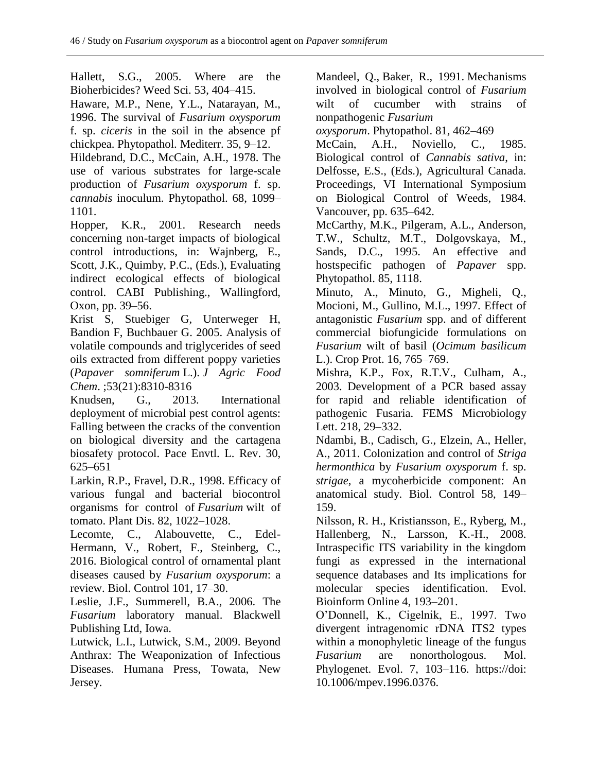Hallett, S.G., 2005. Where are the Bioherbicides? Weed Sci. 53, 404–415.

Haware, M.P., Nene, Y.L., Natarayan, M., 1996. The survival of *Fusarium oxysporum* f. sp. *ciceris* in the soil in the absence pf chickpea. Phytopathol. Mediterr. 35, 9–12.

Hildebrand, D.C., McCain, A.H., 1978. The use of various substrates for large-scale production of *Fusarium oxysporum* f. sp. *cannabis* inoculum. Phytopathol. 68, 1099– 1101.

Hopper, K.R., 2001. Research needs concerning non-target impacts of biological control introductions, in: Wajnberg, E., Scott, J.K., Quimby, P.C., (Eds.), Evaluating indirect ecological effects of biological control. CABI Publishing., Wallingford, Oxon, pp. 39–56.

Krist S, Stuebiger G, Unterweger H, Bandion F, Buchbauer G. 2005. Analysis of volatile compounds and triglycerides of seed oils extracted from different poppy varieties (*Papaver somniferum* L.). *J Agric Food Chem*. ;53(21):8310-8316

Knudsen, G., 2013. International deployment of microbial pest control agents: Falling between the cracks of the convention on biological diversity and the cartagena biosafety protocol. Pace Envtl. L. Rev. 30, 625–651

Larkin, R.P., Fravel, D.R., 1998. Efficacy of various fungal and bacterial biocontrol organisms for control of *Fusarium* wilt of tomato. Plant Dis. 82, 1022–1028.

Lecomte, C., Alabouvette, C., Edel-Hermann, V., Robert, F., Steinberg, C., 2016. Biological control of ornamental plant diseases caused by *Fusarium oxysporum*: a review. Biol. Control 101, 17–30.

Leslie, J.F., Summerell, B.A., 2006. The *Fusarium* laboratory manual. Blackwell Publishing Ltd, Iowa.

Lutwick, L.I., Lutwick, S.M., 2009. Beyond Anthrax: The Weaponization of Infectious Diseases. Humana Press, Towata, New Jersey.

Mandeel, Q., Baker, R., 1991. Mechanisms involved in biological control of *Fusarium* wilt of cucumber with strains of nonpathogenic *Fusarium* 

*oxysporum*. Phytopathol. 81, 462–469

McCain, A.H., Noviello, C., 1985. Biological control of *Cannabis sativa*, in: Delfosse, E.S., (Eds.), Agricultural Canada*.*  Proceedings, VI International Symposium on Biological Control of Weeds, 1984. Vancouver, pp. 635–642.

McCarthy, M.K., Pilgeram, A.L., Anderson, T.W., Schultz, M.T., Dolgovskaya, M., Sands, D.C., 1995. An effective and hostspecific pathogen of *Papaver* spp. Phytopathol. 85, 1118.

Minuto, A., Minuto, G., Migheli, Q., Mocioni, M., Gullino, M.L., 1997. Effect of antagonistic *Fusarium* spp. and of different commercial biofungicide formulations on *Fusarium* wilt of basil (*Ocimum basilicum* L.). Crop Prot. 16, 765–769.

Mishra, K.P., Fox, R.T.V., Culham, A., 2003. Development of a PCR based assay for rapid and reliable identification of pathogenic Fusaria. FEMS Microbiology Lett. 218, 29–332.

Ndambi, B., Cadisch, G., Elzein, A., Heller, A., 2011. Colonization and control of *Striga hermonthica* by *Fusarium oxysporum* f. sp. *strigae*, a mycoherbicide component: An anatomical study. Biol. Control 58, 149– 159.

Nilsson, R. H., Kristiansson, E., Ryberg, M., Hallenberg, N., Larsson, K.-H., 2008. Intraspecific ITS variability in the kingdom fungi as expressed in the international sequence databases and Its implications for molecular species identification. Evol. Bioinform Online 4, 193–201.

O'Donnell, K., Cigelnik, E., 1997. Two divergent intragenomic rDNA ITS2 types within a monophyletic lineage of the fungus *Fusarium* are nonorthologous. Mol. Phylogenet. Evol. 7, 103–116. https://doi: 10.1006/mpev.1996.0376.